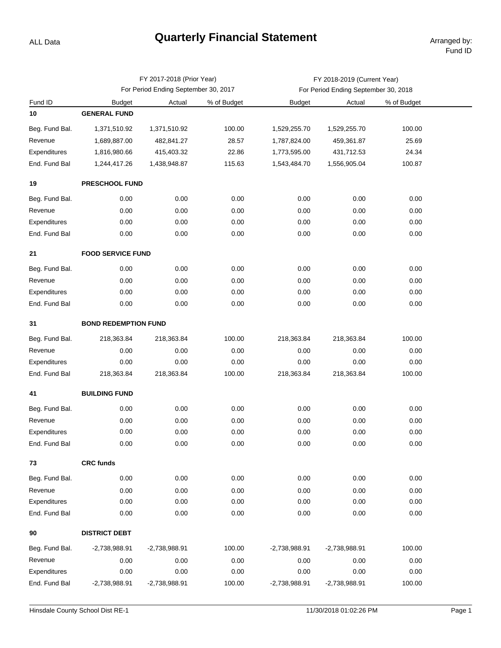## **Quarterly Financial Statement Arranged by:**

ALL Data

|                |                                      | FY 2017-2018 (Prior Year) |             | FY 2018-2019 (Current Year)          |               |             |  |  |  |  |
|----------------|--------------------------------------|---------------------------|-------------|--------------------------------------|---------------|-------------|--|--|--|--|
|                | For Period Ending September 30, 2017 |                           |             | For Period Ending September 30, 2018 |               |             |  |  |  |  |
| Fund ID        | <b>Budget</b>                        | Actual                    | % of Budget | <b>Budget</b>                        | Actual        | % of Budget |  |  |  |  |
| 10             | <b>GENERAL FUND</b>                  |                           |             |                                      |               |             |  |  |  |  |
| Beg. Fund Bal. | 1,371,510.92                         | 1,371,510.92              | 100.00      | 1,529,255.70                         | 1,529,255.70  | 100.00      |  |  |  |  |
| Revenue        | 1,689,887.00                         | 482,841.27                | 28.57       | 1,787,824.00                         | 459,361.87    | 25.69       |  |  |  |  |
| Expenditures   | 1,816,980.66                         | 415,403.32                | 22.86       | 1,773,595.00                         | 431,712.53    | 24.34       |  |  |  |  |
| End. Fund Bal  | 1,244,417.26                         | 1,438,948.87              | 115.63      | 1,543,484.70                         | 1,556,905.04  | 100.87      |  |  |  |  |
| 19             | <b>PRESCHOOL FUND</b>                |                           |             |                                      |               |             |  |  |  |  |
| Beg. Fund Bal. | 0.00                                 | 0.00                      | 0.00        | 0.00                                 | 0.00          | 0.00        |  |  |  |  |
| Revenue        | 0.00                                 | 0.00                      | 0.00        | 0.00                                 | 0.00          | 0.00        |  |  |  |  |
| Expenditures   | 0.00                                 | 0.00                      | 0.00        | 0.00                                 | 0.00          | 0.00        |  |  |  |  |
| End. Fund Bal  | 0.00                                 | 0.00                      | 0.00        | 0.00                                 | 0.00          | 0.00        |  |  |  |  |
| 21             | <b>FOOD SERVICE FUND</b>             |                           |             |                                      |               |             |  |  |  |  |
| Beg. Fund Bal. | 0.00                                 | 0.00                      | 0.00        | 0.00                                 | 0.00          | 0.00        |  |  |  |  |
| Revenue        | 0.00                                 | 0.00                      | 0.00        | 0.00                                 | 0.00          | 0.00        |  |  |  |  |
| Expenditures   | 0.00                                 | 0.00                      | 0.00        | 0.00                                 | 0.00          | 0.00        |  |  |  |  |
| End. Fund Bal  | 0.00                                 | 0.00                      | 0.00        | 0.00                                 | 0.00          | 0.00        |  |  |  |  |
| 31             | <b>BOND REDEMPTION FUND</b>          |                           |             |                                      |               |             |  |  |  |  |
| Beg. Fund Bal. | 218,363.84                           | 218,363.84                | 100.00      | 218,363.84                           | 218,363.84    | 100.00      |  |  |  |  |
| Revenue        | 0.00                                 | 0.00                      | 0.00        | 0.00                                 | 0.00          | 0.00        |  |  |  |  |
| Expenditures   | 0.00                                 | 0.00                      | 0.00        | 0.00                                 | 0.00          | 0.00        |  |  |  |  |
| End. Fund Bal  | 218,363.84                           | 218,363.84                | 100.00      | 218,363.84                           | 218,363.84    | 100.00      |  |  |  |  |
| 41             | <b>BUILDING FUND</b>                 |                           |             |                                      |               |             |  |  |  |  |
| Beg. Fund Bal. | 0.00                                 | 0.00                      | 0.00        | 0.00                                 | 0.00          | 0.00        |  |  |  |  |
| Revenue        | 0.00                                 | 0.00                      | 0.00        | 0.00                                 | 0.00          | 0.00        |  |  |  |  |
| Expenditures   | 0.00                                 | 0.00                      | 0.00        | 0.00                                 | 0.00          | 0.00        |  |  |  |  |
| End. Fund Bal  | 0.00                                 | 0.00                      | 0.00        | 0.00                                 | 0.00          | 0.00        |  |  |  |  |
| 73             | <b>CRC funds</b>                     |                           |             |                                      |               |             |  |  |  |  |
| Beg. Fund Bal. | 0.00                                 | 0.00                      | 0.00        | 0.00                                 | 0.00          | 0.00        |  |  |  |  |
| Revenue        | 0.00                                 | 0.00                      | 0.00        | 0.00                                 | 0.00          | 0.00        |  |  |  |  |
| Expenditures   | 0.00                                 | 0.00                      | 0.00        | 0.00                                 | 0.00          | 0.00        |  |  |  |  |
| End. Fund Bal  | 0.00                                 | 0.00                      | 0.00        | 0.00                                 | 0.00          | 0.00        |  |  |  |  |
| 90             | <b>DISTRICT DEBT</b>                 |                           |             |                                      |               |             |  |  |  |  |
| Beg. Fund Bal. | $-2,738,988.91$                      | $-2,738,988.91$           | 100.00      | $-2,738,988.91$                      | -2,738,988.91 | 100.00      |  |  |  |  |
| Revenue        | 0.00                                 | 0.00                      | 0.00        | 0.00                                 | 0.00          | 0.00        |  |  |  |  |
| Expenditures   | 0.00                                 | 0.00                      | 0.00        | 0.00                                 | 0.00          | 0.00        |  |  |  |  |
| End. Fund Bal  | $-2,738,988.91$                      | $-2,738,988.91$           | 100.00      | $-2,738,988.91$                      | -2,738,988.91 | 100.00      |  |  |  |  |